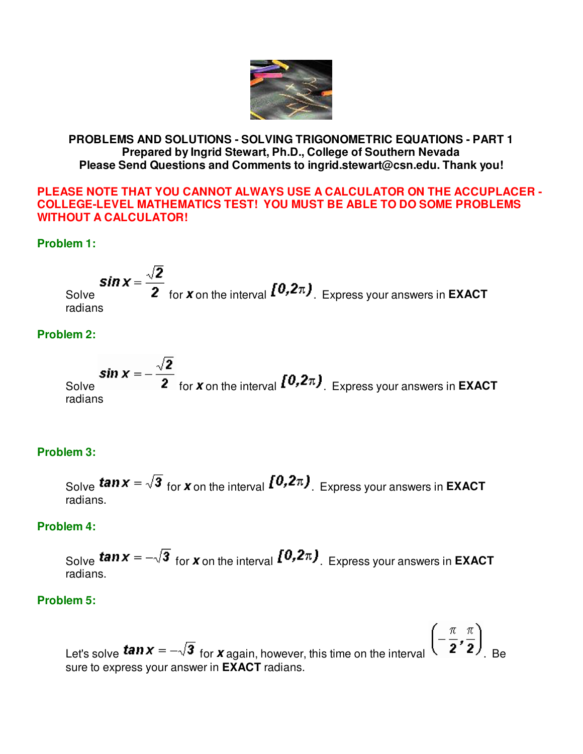

## **PROBLEMS AND SOLUTIONS - SOLVING TRIGONOMETRIC EQUATIONS - PART 1 Prepared by Ingrid Stewart, Ph.D., College of Southern Nevada Please Send Questions and Comments to ingrid.stewart@csn.edu. Thank you!**

#### **PLEASE NOTE THAT YOU CANNOT ALWAYS USE A CALCULATOR ON THE ACCUPLACER - COLLEGE-LEVEL MATHEMATICS TEST! YOU MUST BE ABLE TO DO SOME PROBLEMS WITHOUT A CALCULATOR!**

# **Problem 1:**

**Sin**  $x = \frac{\sqrt{2}}{2}$  for **x** on the interval  $\left[0, 2\pi\right)$ . Express your answers in **EXACT** radians

## **Problem 2:**

**Sin**  $x = -\frac{\sqrt{2}}{2}$  for **x** on the interval  $\int_0^{\infty} 0.2\pi$ , Express your answers in **EXACT** radians

# **Problem 3:**

Solve **tan**  $x = \sqrt{3}$  for **x** on the interval  $\left[0, 2\pi\right)$ . Express your answers in **EXACT** radians.

### **Problem 4:**

Solve **tan**  $x = -\sqrt{3}$  for **x** on the interval  $\left[0, 2\pi\right)$ . Express your answers in **EXACT** radians.

### **Problem 5:**

Let's solve  $tan x = -\sqrt{3}$  for x again, however, this time on the interval  $(2 \ 2 \ 2)$ . Be sure to express your answer in **EXACT** radians.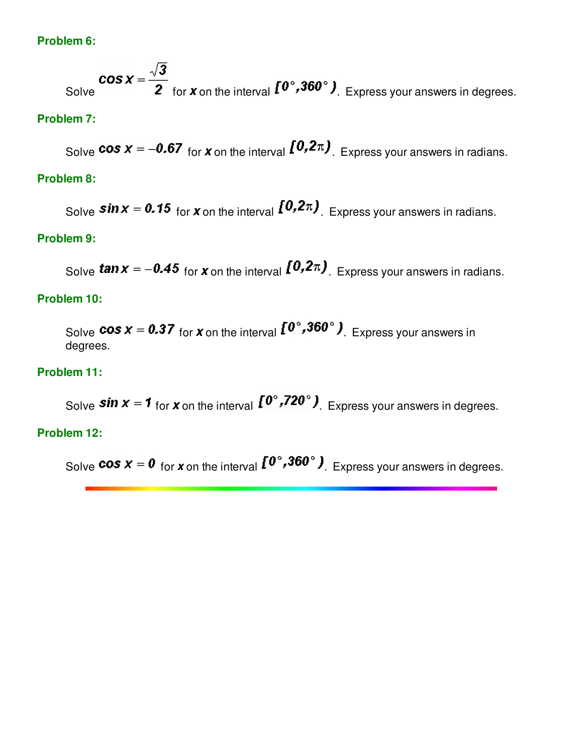# **Problem 6:**

**COS X** =  $\frac{\sqrt{3}}{2}$  for **x** on the interval  $\mathbf{I}^0$ , **360**° **)** Express your answers in degrees.

## **Problem 7:**

Solve **cos**  $x = -0.67$  for **x** on the interval  $\left[0.2\pi\right)$ . Express your answers in radians.

## **Problem 8:**

Solve **Sin**  $x = 0.15$  for **x** on the interval  $\left[0.2\pi\right)$ . Express your answers in radians.

#### **Problem 9:**

Solve **tan**  $x = -0.45$  for **x** on the interval  $\left[0.2\pi\right)$ . Express your answers in radians.

# **Problem 10:**

Solve **cos**  $x = 0.37$  for **x** on the interval  $\left[0^\circ, 360^\circ\right)$ . Express your answers in degrees.

### **Problem 11:**

Solve **Sin**  $x = 1$  for **x** on the interval  $\left[10^\circ, 720^\circ\right)$ . Express your answers in degrees.

## **Problem 12:**

Solve **cos**  $x = 0$  for **x** on the interval  $\left[0^\circ, 360^\circ\right)$ . Express your answers in degrees.